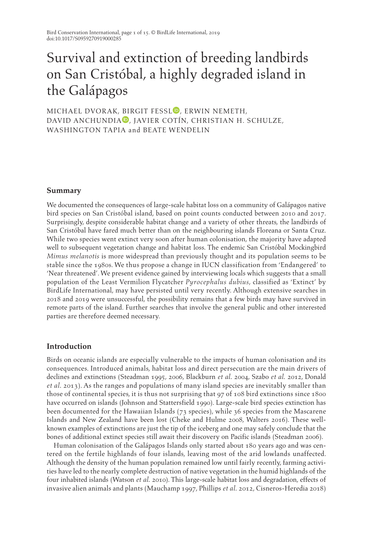# Survival and extinction of breeding landbirds on San Cristóbal, a highly degraded island in the Galápagos

MICHAEL DVORAK[,](https://orcid.org/0000-0003-1260-6002) BIRGIT FESSL<sup>D</sup>, ERWIN NEMETH, DAVID ANCHUNDIA<sup>D</sup>[,](https://orcid.org/0000-0003-2283-5634) JAVIER COTÍN, CHRISTIAN H. SCHULZE, WASHINGTON TAPIA and BEATE WENDELIN

## **Summary**

We documented the consequences of large-scale habitat loss on a community of Galápagos native bird species on San Cristóbal island, based on point counts conducted between 2010 and 2017. Surprisingly, despite considerable habitat change and a variety of other threats, the landbirds of San Cristóbal have fared much better than on the neighbouring islands Floreana or Santa Cruz. While two species went extinct very soon after human colonisation, the majority have adapted well to subsequent vegetation change and habitat loss. The endemic San Cristóbal Mockingbird *Mimus melanotis* is more widespread than previously thought and its population seems to be stable since the 1980s. We thus propose a change in IUCN classification from 'Endangered' to 'Near threatened'. We present evidence gained by interviewing locals which suggests that a small population of the Least Vermilion Flycatcher *Pyrocephalus dubius*, classified as 'Extinct' by BirdLife International, may have persisted until very recently. Although extensive searches in 2018 and 2019 were unsuccessful, the possibility remains that a few birds may have survived in remote parts of the island. Further searches that involve the general public and other interested parties are therefore deemed necessary.

# **Introduction**

Birds on oceanic islands are especially vulnerable to the impacts of human colonisation and its consequences. Introduced animals, habitat loss and direct persecution are the main drivers of declines and extinctions (Steadman 1995, 2006, Blackburn *et al.* 2004, Szabo *et al.* 2012, Donald *et al.* 2013). As the ranges and populations of many island species are inevitably smaller than those of continental species, it is thus not surprising that 97 of 108 bird extinctions since 1800 have occurred on islands (Johnson and Stattersfield 1990). Large-scale bird species extinction has been documented for the Hawaiian Islands (73 species), while 36 species from the Mascarene Islands and New Zealand have been lost (Cheke and Hulme 2008, Walters 2016). These wellknown examples of extinctions are just the tip of the iceberg and one may safely conclude that the bones of additional extinct species still await their discovery on Pacific islands (Steadman 2006).

Human colonisation of the Galápagos Islands only started about 180 years ago and was centered on the fertile highlands of four islands, leaving most of the arid lowlands unaffected. Although the density of the human population remained low until fairly recently, farming activities have led to the nearly complete destruction of native vegetation in the humid highlands of the four inhabited islands (Watson *et al.* 2010). This large-scale habitat loss and degradation, effects of invasive alien animals and plants (Mauchamp 1997, Phillips *et al.* 2012, Cisneros-Heredia 2018)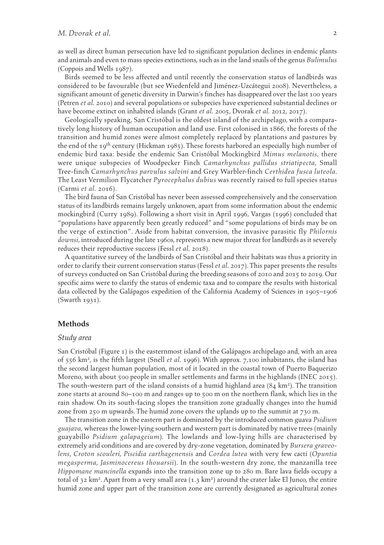as well as direct human persecution have led to significant population declines in endemic plants and animals and even to mass species extinctions, such as in the land snails of the genus *Bulimulus* (Coppois and Wells 1987).

Birds seemed to be less affected and until recently the conservation status of landbirds was considered to be favourable (but see Wiedenfeld and Jiménez-Uzcátegui 2008). Nevertheless, a significant amount of genetic diversity in Darwin's finches has disappeared over the last 100 years (Petren *et al.* 2010) and several populations or subspecies have experienced substantial declines or have become extinct on inhabited islands (Grant *et al.* 2005, Dvorak *et al.* 2012, 2017).

Geologically speaking, San Cristóbal is the oldest island of the archipelago, with a comparatively long history of human occupation and land use. First colonised in 1866, the forests of the transition and humid zones were almost completely replaced by plantations and pastures by the end of the 19<sup>th</sup> century (Hickman 1985). These forests harbored an especially high number of endemic bird taxa: beside the endemic San Cristóbal Mockingbird *Mimus melanotis*, there were unique subspecies of Woodpecker Finch *Camarhynchus pallidus striatipecta*, Small Tree-finch *Camarhynchus parvulus salvini* and Grey Warbler-finch *Certhidea fusca luteola*. The Least Vermilion Flycatcher *Pyrocephalus dubius* was recently raised to full species status (Carmi *et al.* 2016).

The bird fauna of San Cristóbal has never been assessed comprehensively and the conservation status of its landbirds remains largely unknown, apart from some information about the endemic mockingbird (Curry 1989). Following a short visit in April 1996, Vargas (1996) concluded that "populations have apparently been greatly reduced" and "some populations of birds may be on the verge of extinction". Aside from habitat conversion, the invasive parasitic fly *Philornis downsi*, introduced during the late 1960s, represents a new major threat for landbirds as it severely reduces their reproductive success (Fessl *et al.* 2018).

A quantitative survey of the landbirds of San Cristóbal and their habitats was thus a priority in order to clarify their current conservation status (Fessl *et al.* 2017). This paper presents the results of surveys conducted on San Cristóbal during the breeding seasons of 2010 and 2015 to 2019. Our specific aims were to clarify the status of endemic taxa and to compare the results with historical data collected by the Galápagos expedition of the California Academy of Sciences in 1905–1906 (Swarth 1931).

### **Methods**

#### *Study area*

San Cristóbal (Figure 1) is the easternmost island of the Galápagos archipelago and, with an area of 556 km2, is the fifth largest (Snell *et al.* 1996). With approx. 7,100 inhabitants, the island has the second largest human population, most of it located in the coastal town of Puerto Baquerizo Moreno, with about 500 people in smaller settlements and farms in the highlands (INEC 2015). The south-western part of the island consists of a humid highland area  $(84 \text{ km}^2)$ . The transition zone starts at around 80–100 m and ranges up to 500 m on the northern flank, which lies in the rain shadow. On its south-facing slopes the transition zone gradually changes into the humid zone from 250 m upwards. The humid zone covers the uplands up to the summit at 730 m.

The transition zone in the eastern part is dominated by the introduced common guava *Psidium guajava,* whereas the lower-lying southern and western part is dominated by native trees (mainly guayabillo *Psidium galapageium*)*.* The lowlands and low-lying hills are characterised by extremely arid conditions and are covered by dry-zone vegetation, dominated by *Bursera graveolens*, *Croton scouleri, Piscidia carthagenensis* and *Cordea lutea* with very few cacti (*Opuntia megasperma*, *Jasminocereus thouarsii*). In the south-western dry zone, the manzanilla tree *Hippomane mancinella* expands into the transition zone up to 280 m. Bare lava fields occupy a total of 32 km<sup>2</sup>. Apart from a very small area  $(1.3 \text{ km}^2)$  around the crater lake El Junco, the entire humid zone and upper part of the transition zone are currently designated as agricultural zones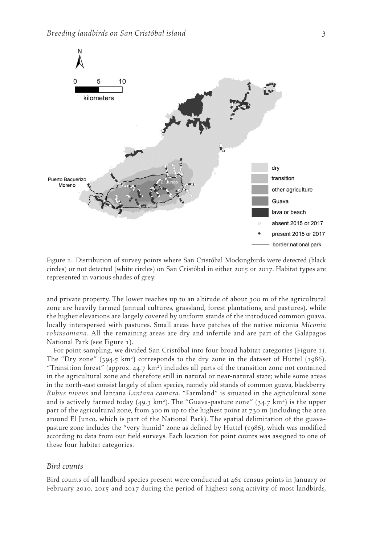

Figure 1. Distribution of survey points where San Cristóbal Mockingbirds were detected (black circles) or not detected (white circles) on San Cristóbal in either 2015 or 2017. Habitat types are represented in various shades of grey.

and private property. The lower reaches up to an altitude of about 300 m of the agricultural zone are heavily farmed (annual cultures, grassland, forest plantations, and pastures), while the higher elevations are largely covered by uniform stands of the introduced common guava, locally interspersed with pastures. Small areas have patches of the native miconia *Miconia robinsoniana.* All the remaining areas are dry and infertile and are part of the Galápagos National Park (see Figure 1).

For point sampling, we divided San Cristóbal into four broad habitat categories (Figure 1). The "Dry zone"  $(394.5 \text{ km}^2)$  corresponds to the dry zone in the dataset of Huttel  $(1986)$ . "Transition forest" (approx.  $44.7 \text{ km}^2$ ) includes all parts of the transition zone not contained in the agricultural zone and therefore still in natural or near-natural state; while some areas in the north-east consist largely of alien species, namely old stands of common guava, blackberry *Rubus niveus* and lantana *Lantana camara*. "Farmland" is situated in the agricultural zone and is actively farmed today  $(49.3 \text{ km}^2)$ . The "Guava-pasture zone"  $(34.7 \text{ km}^2)$  is the upper part of the agricultural zone, from 300 m up to the highest point at 730 m (including the area around El Junco, which is part of the National Park). The spatial delimitation of the guavapasture zone includes the "very humid" zone as defined by Huttel (1986), which was modified according to data from our field surveys. Each location for point counts was assigned to one of these four habitat categories.

### *Bird counts*

Bird counts of all landbird species present were conducted at 461 census points in January or February 2010, 2015 and 2017 during the period of highest song activity of most landbirds,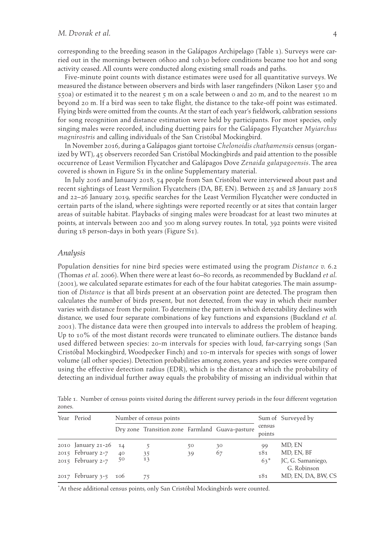corresponding to the breeding season in the Galápagos Archipelago (Table 1). Surveys were carried out in the mornings between 06h00 and 10h30 before conditions became too hot and song activity ceased. All counts were conducted along existing small roads and paths.

Five-minute point counts with distance estimates were used for all quantitative surveys. We measured the distance between observers and birds with laser rangefinders (Nikon Laser 550 and 550a) or estimated it to the nearest 5 m on a scale between 0 and 20 m, and to the nearest 10 m beyond 20 m. If a bird was seen to take flight, the distance to the take-off point was estimated. Flying birds were omitted from the counts. At the start of each year's fieldwork, calibration sessions for song recognition and distance estimation were held by participants. For most species, only singing males were recorded, including duetting pairs for the Galápagos Flycatcher *Myiarchus magnirostris* and calling individuals of the San Cristóbal Mockingbird.

In November 2016, during a Galápagos giant tortoise *Chelonoidis chathamensis* census (organized by WT), 45 observers recorded San Cristóbal Mockingbirds and paid attention to the possible occurrence of Least Vermilion Flycatcher and Galápagos Dove *Zenaida galapagoensis*. The area covered is shown in Figure S<sub>1</sub> in the online Supplementary material.

In July 2016 and January 2018, 54 people from San Cristóbal were interviewed about past and recent sightings of Least Vermilion Flycatchers (DA, BF, EN). Between 25 and 28 January 2018 and 22–26 January 2019, specific searches for the Least Vermilion Flycatcher were conducted in certain parts of the island, where sightings were reported recently or at sites that contain larger areas of suitable habitat. Playbacks of singing males were broadcast for at least two minutes at points, at intervals between 200 and 300 m along survey routes. In total, 392 points were visited during 18 person-days in both years (Figure S1).

#### *Analysis*

Population densities for nine bird species were estimated using the program *Distance v.* 6.2 (Thomas *et al.* 2006). When there were at least 60–80 records, as recommended by Buckland *et al.* (2001), we calculated separate estimates for each of the four habitat categories. The main assumption of *Distance* is that all birds present at an observation point are detected. The program then calculates the number of birds present, but not detected, from the way in which their number varies with distance from the point. To determine the pattern in which detectability declines with distance, we used four separate combinations of key functions and expansions (Buckland *et al.* 2001). The distance data were then grouped into intervals to address the problem of heaping. Up to 10% of the most distant records were truncated to eliminate outliers. The distance bands used differed between species: 20-m intervals for species with loud, far-carrying songs (San Cristóbal Mockingbird, Woodpecker Finch) and 10-m intervals for species with songs of lower volume (all other species). Detection probabilities among zones, years and species were compared using the effective detection radius (EDR), which is the distance at which the probability of detecting an individual further away equals the probability of missing an individual within that

| Year Period                   |    | Number of census points                         |    | Sum of Surveyed by |                  |                                  |
|-------------------------------|----|-------------------------------------------------|----|--------------------|------------------|----------------------------------|
|                               |    | Dry zone Transition zone Farmland Guava-pasture |    |                    | census<br>points |                                  |
| 2010 January 21-26 14         |    |                                                 | 50 | 30                 | 99               | MD, EN                           |
| 2015 February 2-7             | 40 | 35                                              | 39 | 67                 | 181              | MD, EN, BF                       |
| 2015 February 2-7 $5^{\circ}$ |    | 13                                              |    |                    | $63*$            | JC, G. Samaniego,<br>G. Robinson |
| 2017 February 3-5 106         |    | 75                                              |    |                    | 181              | MD, EN, DA, BW, CS               |

Table 1. Number of census points visited during the different survey periods in the four different vegetation zones.

\*At these additional census points, only San Cristóbal Mockingbirds were counted.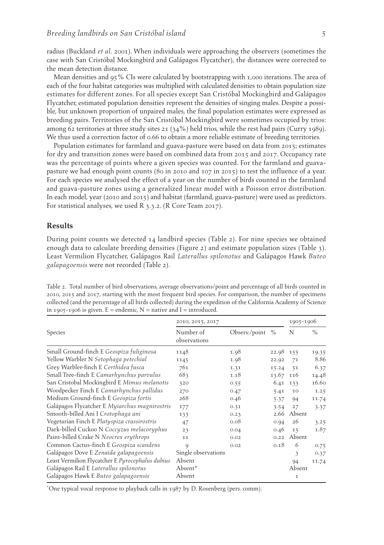radius (Buckland *et al.* 2001). When individuals were approaching the observers (sometimes the case with San Cristóbal Mockingbird and Galápagos Flycatcher), the distances were corrected to the mean detection distance.

Mean densities and 95% CIs were calculated by bootstrapping with 1,000 iterations. The area of each of the four habitat categories was multiplied with calculated densities to obtain population size estimates for different zones. For all species except San Cristóbal Mockingbird and Galápagos Flycatcher, estimated population densities represent the densities of singing males. Despite a possible, but unknown proportion of unpaired males, the final population estimates were expressed as breeding pairs. Territories of the San Cristóbal Mockingbird were sometimes occupied by trios: among 62 territories at three study sites 21 (34%) held trios, while the rest had pairs (Curry 1989). We thus used a correction factor of 0.66 to obtain a more reliable estimate of breeding territories.

Population estimates for farmland and guava-pasture were based on data from 2015; estimates for dry and transition zones were based on combined data from 2015 and 2017. Occupancy rate was the percentage of points where a given species was counted. For the farmland and guavapasture we had enough point counts (80 in 2010 and 107 in 2015) to test the influence of a year. For each species we analysed the effect of a year on the number of birds counted in the farmland and guava-pasture zones using a generalized linear model with a Poisson error distribution. In each model, year (2010 and 2015) and habitat (farmland, guava-pasture) were used as predictors. For statistical analyses, we used R 3.3.2. (R Core Team 2017).

## **Results**

During point counts we detected  $14$  landbird species (Table 2). For nine species we obtained enough data to calculate breeding densities (Figure 2) and estimate population sizes (Table 3). Least Vermilion Flycatcher, Galápagos Rail *Laterallus spilonotus* and Galápagos Hawk *Buteo galapagoensis* were not recorded (Table 2).

Table 2. Total number of bird observations, average observations/point and percentage of all birds counted in 2010, 2015 and 2017, starting with the most frequent bird species. For comparison, the number of specimens collected (and the percentage of all birds collected) during the expedition of the California Academy of Science in 1905-1906 is given.  $E =$  endemic,  $N =$  native and  $I =$  introduced.

|                                                  | 2010, 2015, 2017          |               |           |        | 1905-1906     |  |  |
|--------------------------------------------------|---------------------------|---------------|-----------|--------|---------------|--|--|
| Species                                          | Number of<br>observations | Observ./point | $\%$      | N      | $\frac{0}{0}$ |  |  |
| Small Ground-finch E Geospiza fuliginosa         | 1148                      | 1.98          | 22.98 155 |        | 19.35         |  |  |
| Yellow Warbler N Setophaga petechial             | 1145                      | 1.98          | 22.92     | 71     | 8.86          |  |  |
| Grey Warbler-finch E Certhidea fusca             | 761                       | 1.31          | 15.24     | 51     | 6.37          |  |  |
| Small Tree-finch E Camarhynchus parvulus         | 683                       | 1.18          | 13.67     | 116    | 14.48         |  |  |
| San Cristobal Mockingbird E Mimus melanotis      | 320                       | 0.55          | 6.41      | 133    | 16.60         |  |  |
| Woodpecker Finch E Camarhynchus pallidus         | 270                       | 0.47          | 5.41      | 10     | 1.25          |  |  |
| Medium Ground-finch E Geospiza fortis            | 268                       | 0.46          | 5.37      | 94     | 11.74         |  |  |
| Galápagos Flycatcher E Myiarchus magnirostris    | 177                       | 0.31          | 3.54      | 27     | 3.37          |  |  |
| Smooth-billed Ani I Crotophaga ani               | 133                       | 0.23          | 2.66      | Absent |               |  |  |
| Vegetarian Finch E Platyspiza crassirostris      | 47                        | 0.08          | 0.94      | 26     | 3.25          |  |  |
| Dark-billed Cuckoo N Coccyzus melacoryphus       | 23                        | 0.04          | 0.46      | 15     | 1.87          |  |  |
| Paint-billed Crake N Neocrex erythrops           | 11                        | 0.02          | 0.22      | Absent |               |  |  |
| Common Cactus-finch E Geospiza scandens          | 9                         | 0.02          | 0.18      | 6      | 0.75          |  |  |
| Galápagos Dove E Zenaida galapagoensis           | Single observations       |               |           | 3      | 0.37          |  |  |
| Least Vermilion Flycatcher E Pyrocephalus dubius | Absent                    |               |           | 94     | 11.74         |  |  |
| Galápagos Rail E Laterallus spilonotus           | Absent*                   |               |           | Absent |               |  |  |
| Galápagos Hawk E Buteo galapagoensis             | Absent                    |               |           | 1      |               |  |  |

\*One typical vocal response to playback calls in 1987 by D. Rosenberg (pers. comm).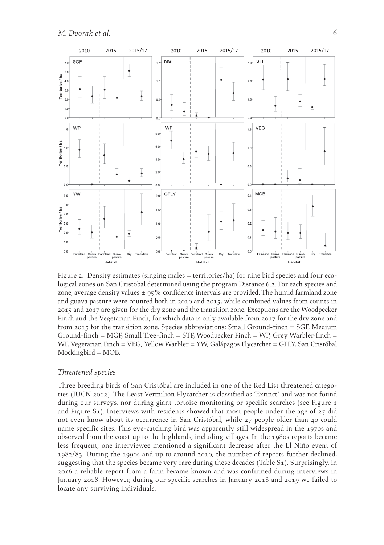

Figure 2. Density estimates (singing males = territories/ha) for nine bird species and four ecological zones on San Cristóbal determined using the program Distance 6.2. For each species and zone, average density values  $\pm$  95% confidence intervals are provided. The humid farmland zone and guava pasture were counted both in 2010 and 2015, while combined values from counts in 2015 and 2017 are given for the dry zone and the transition zone. Exceptions are the Woodpecker Finch and the Vegetarian Finch, for which data is only available from 2017 for the dry zone and from 2015 for the transition zone. Species abbreviations: Small Ground-finch = SGF, Medium Ground-finch = MGF, Small Tree-finch = STF, Woodpecker Finch = WP, Grey Warbler-finch = WF, Vegetarian Finch = VEG, Yellow Warbler = YW, Galápagos Flycatcher = GFLY, San Cristóbal Mockingbird = MOB.

### *Threatened species*

Three breeding birds of San Cristóbal are included in one of the Red List threatened categories (IUCN 2012). The Least Vermilion Flycatcher is classified as 'Extinct' and was not found during our surveys, nor during giant tortoise monitoring or specific searches (see Figure 1 and Figure S1). Interviews with residents showed that most people under the age of  $25$  did not even know about its occurrence in San Cristóbal, while 27 people older than 40 could name specific sites. This eye-catching bird was apparently still widespread in the 1970s and observed from the coast up to the highlands, including villages. In the 1980s reports became less frequent; one interviewee mentioned a significant decrease after the El Niňo event of 1982/83. During the 1990s and up to around 2010, the number of reports further declined, suggesting that the species became very rare during these decades (Table S1). Surprisingly, in 2016 a reliable report from a farm became known and was confirmed during interviews in January 2018. However, during our specific searches in January 2018 and 2019 we failed to locate any surviving individuals.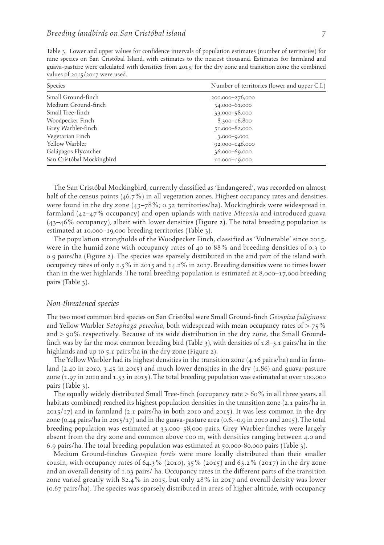Table 3. Lower and upper values for confidence intervals of population estimates (number of territories) for nine species on San Cristóbal Island, with estimates to the nearest thousand. Estimates for farmland and guava-pasture were calculated with densities from 2015; for the dry zone and transition zone the combined values of 2015/2017 were used.

| Species                   | Number of territories (lower and upper C.I.) |  |  |  |  |
|---------------------------|----------------------------------------------|--|--|--|--|
| Small Ground-finch        | 200,000-276,000                              |  |  |  |  |
| Medium Ground-finch       | 34,000-61,000                                |  |  |  |  |
| Small Tree-finch          | 33,000-58,000                                |  |  |  |  |
| Woodpecker Finch          | 8,300-16,800                                 |  |  |  |  |
| Grey Warbler-finch        | 51,000-82,000                                |  |  |  |  |
| Vegetarian Finch          | $3,000 - 9,000$                              |  |  |  |  |
| Yellow Warbler            | 92,000-146,000                               |  |  |  |  |
| Galápagos Flycatcher      | 36,000-69,000                                |  |  |  |  |
| San Cristóbal Mockingbird | 10,000-19,000                                |  |  |  |  |

The San Cristóbal Mockingbird, currently classified as 'Endangered', was recorded on almost half of the census points (46.7%) in all vegetation zones. Highest occupancy rates and densities were found in the dry zone (43–78%; 0.32 territories/ha). Mockingbirds were widespread in farmland (42–47% occupancy) and open uplands with native *Miconia* and introduced guava (43–46% occupancy), albeit with lower densities (Figure 2). The total breeding population is estimated at 10,000–19,000 breeding territories (Table 3).

The population strongholds of the Woodpecker Finch, classified as 'Vulnerable' since 2015, were in the humid zone with occupancy rates of 40 to 88% and breeding densities of 0.3 to 0.9 pairs/ha (Figure 2). The species was sparsely distributed in the arid part of the island with occupancy rates of only 2.5% in 2015 and 14.2% in 2017. Breeding densities were 10 times lower than in the wet highlands. The total breeding population is estimated at 8,000–17,000 breeding pairs (Table 3).

#### *Non-threatened species*

The two most common bird species on San Cristóbal were Small Ground-finch *Geospiza fuliginosa* and Yellow Warbler *Setophaga petechia*, both widespread with mean occupancy rates of > 75% and > 90% respectively. Because of its wide distribution in the dry zone, the Small Groundfinch was by far the most common breeding bird (Table 3), with densities of  $1.8-3.1$  pairs/ha in the highlands and up to 5.1 pairs/ha in the dry zone (Figure 2).

The Yellow Warbler had its highest densities in the transition zone (4.16 pairs/ha) and in farmland (2.40 in 2010, 3.45 in 2015) and much lower densities in the dry  $(1.86)$  and guava-pasture zone (1.97 in 2010 and 1.53 in 2015). The total breeding population was estimated at over 100,000 pairs (Table 3).

The equally widely distributed Small Tree-finch (occupancy rate > 60% in all three years, all habitats combined) reached its highest population densities in the transition zone (2.1 pairs/ha in  $2015/17$ ) and in farmland (2.1 pairs/ha in both 2010 and 2015). It was less common in the dry zone (0.44 pairs/ha in 2015/17) and in the guava-pasture area (0.6.–0.9 in 2010 and 2015). The total breeding population was estimated at 33,000–58,000 pairs. Grey Warbler-finches were largely absent from the dry zone and common above 100 m, with densities ranging between 4.0 and 6.9 pairs/ha. The total breeding population was estimated at 50,000-80,000 pairs (Table 3).

Medium Ground-finches *Geospiza fortis* were more locally distributed than their smaller cousin, with occupancy rates of 64.3% (2010), 35% (2015) and 63.2% (2017) in the dry zone and an overall density of 1.03 pairs/ ha. Occupancy rates in the different parts of the transition zone varied greatly with 82.4% in 2015, but only 28% in 2017 and overall density was lower (0.67 pairs/ha). The species was sparsely distributed in areas of higher altitude, with occupancy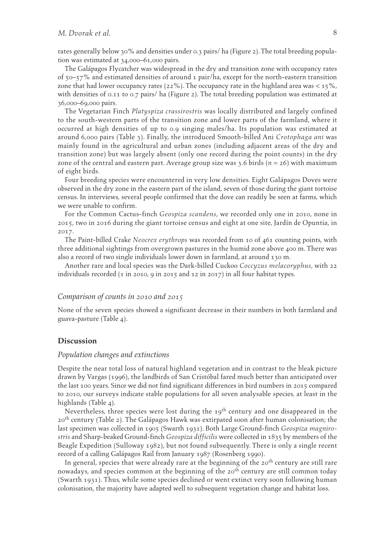rates generally below 30% and densities under 0.3 pairs/ ha (Figure 2). The total breeding population was estimated at 34,000–61,000 pairs.

The Galápagos Flycatcher was widespread in the dry and transition zone with occupancy rates of  $50-57\%$  and estimated densities of around 1 pair/ha, except for the north-eastern transition zone that had lower occupancy rates (22%). The occupancy rate in the highland area was  $\lt 15\%$ , with densities of 0.11 to 0.7 pairs/ ha (Figure 2). The total breeding population was estimated at 36,000–69,000 pairs.

The Vegetarian Finch *Platyspiza crassirostris* was locally distributed and largely confined to the south-western parts of the transition zone and lower parts of the farmland, where it occurred at high densities of up to 0.9 singing males/ha. Its population was estimated at around 6,000 pairs (Table 3). Finally, the introduced Smooth-billed Ani *Crotophaga ani* was mainly found in the agricultural and urban zones (including adjacent areas of the dry and transition zone) but was largely absent (only one record during the point counts) in the dry zone of the central and eastern part. Average group size was 3.6 birds  $(n = 26)$  with maximum of eight birds.

Four breeding species were encountered in very low densities. Eight Galápagos Doves were observed in the dry zone in the eastern part of the island, seven of those during the giant tortoise census. In interviews, several people confirmed that the dove can readily be seen at farms, which we were unable to confirm.

For the Common Cactus-finch *Geospiza scandens*, we recorded only one in 2010, none in 2015, two in 2016 during the giant tortoise census and eight at one site, Jardín de Opuntia, in 2017.

The Paint-billed Crake *Neocrex erythrops* was recorded from 10 of 461 counting points, with three additional sightings from overgrown pastures in the humid zone above 400 m. There was also a record of two single individuals lower down in farmland, at around 130 m.

Another rare and local species was the Dark-billed Cuckoo *Coccyzus melacoryphus*, with 22 individuals recorded  $(1 \text{ in } 2010, 9 \text{ in } 2015, 2017)$  in all four habitat types.

### *Comparison of counts in 2010 and 2015*

None of the seven species showed a significant decrease in their numbers in both farmland and guava-pasture (Table 4).

## **Discussion**

#### *Population changes and extinctions*

Despite the near total loss of natural highland vegetation and in contrast to the bleak picture drawn by Vargas (1996), the landbirds of San Cristóbal fared much better than anticipated over the last 100 years. Since we did not find significant differences in bird numbers in 2015 compared to 2010, our surveys indicate stable populations for all seven analysable species, at least in the highlands (Table 4).

Nevertheless, three species were lost during the  $19<sup>th</sup>$  century and one disappeared in the  $20<sup>th</sup>$  century (Table 2). The Galápagos Hawk was extirpated soon after human colonisation; the last specimen was collected in 1905 (Swarth 1931). Both Large Ground-finch *Geospiza magnirostris* and Sharp-beaked Ground-finch *Geospiza difficilis* were collected in 1835 by members of the Beagle Expedition (Sulloway 1982), but not found subsequently. There is only a single recent record of a calling Galápagos Rail from January 1987 (Rosenberg 1990).

In general, species that were already rare at the beginning of the  $20<sup>th</sup>$  century are still rare nowadays, and species common at the beginning of the 20<sup>th</sup> century are still common today (Swarth 1931). Thus, while some species declined or went extinct very soon following human colonisation, the majority have adapted well to subsequent vegetation change and habitat loss.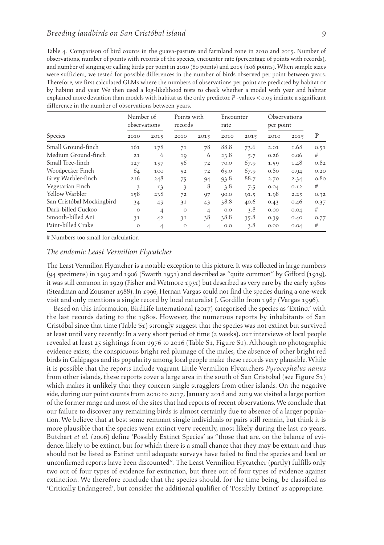|                           | Number of<br>observations |                | Points with<br>records |                | Encounter<br>rate |      | Observations<br>per point |      |      |
|---------------------------|---------------------------|----------------|------------------------|----------------|-------------------|------|---------------------------|------|------|
| Species                   | 2010                      | 2015           | 2010                   | 2015           | 2010              | 2015 | 2010                      | 2015 | P    |
| Small Ground-finch        | 161                       | 178            | 71                     | 78             | 88.8              | 73.6 | 2.01                      | 1.68 | 0.51 |
| Medium Ground-finch       | 21                        | 6              | 19                     | 6              | 23.8              | 5.7  | 0.26                      | 0.06 | #    |
| Small Tree-finch          | 127                       | 157            | 56                     | 72             | 70.0              | 67.9 | 1.59                      | 1.48 | 0.82 |
| Woodpecker Finch          | 64                        | 100            | 52                     | 72             | 65.0              | 67.9 | 0.8 <sub>0</sub>          | 0.94 | 0.20 |
| Grey Warbler-finch        | 216                       | 248            | 75                     | 94             | 93.8              | 88.7 | 2.70                      | 2.34 | 0.80 |
| Vegetarian Finch          | 3                         | 13             | 3                      | 8              | 3.8               | 7.5  | 0.04                      | 0.12 | #    |
| Yellow Warbler            | 158                       | 238            | 72                     | 97             | 90.0              | 91.5 | 1.98                      | 2.25 | 0.32 |
| San Cristóbal Mockingbird | 34                        | 49             | 31                     | 43             | 38.8              | 40.6 | 0.43                      | 0.46 | 0.37 |
| Dark-billed Cuckoo        | $\circ$                   | $\overline{4}$ | $\circ$                | $\overline{4}$ | 0.0               | 3.8  | 0.00                      | 0.04 | #    |
| Smooth-billed Ani         | 31                        | 42             | 31                     | 38             | 38.8              | 35.8 | 0.39                      | 0.40 | 0.77 |
| Paint-billed Crake        | $\circ$                   | $\overline{4}$ | $\circ$                | $\overline{4}$ | 0.0               | 3.8  | 0.00                      | 0.04 | #    |

# Numbers too small for calculation

## *The endemic Least Vermilion Flycatcher*

The Least Vermilion Flycatcher is a notable exception to this picture. It was collected in large numbers (94 specimens) in 1905 and 1906 (Swarth 1931) and described as "quite common" by Gifford (1919), it was still common in 1929 (Fisher and Wetmore 1931) but described as very rare by the early 1980s (Steadman and Zousmer 1988). In 1996, Hernan Vargas could not find the species during a one-week visit and only mentions a single record by local naturalist J. Gordillo from 1987 (Vargas 1996).

Based on this information, BirdLife International (2017) categorised the species as 'Extinct' with the last records dating to the 1980s. However, the numerous reports by inhabitants of San Cristóbal since that time (Table S1) strongly suggest that the species was not extinct but survived at least until very recently: In a very short period of time (2 weeks), our interviews of local people revealed at least 25 sightings from 1976 to 2016 (Table S1, Figure S1). Although no photographic evidence exists, the conspicuous bright red plumage of the males, the absence of other bright red birds in Galápagos and its popularity among local people make these records very plausible. While it is possible that the reports include vagrant Little Vermilion Flycatchers *Pyrocephalus nanus* from other islands, these reports cover a large area in the south of San Cristobal (see Figure S1) which makes it unlikely that they concern single stragglers from other islands. On the negative side, during our point counts from 2010 to 2017, January 2018 and 2019 we visited a large portion of the former range and most of the sites that had reports of recent observations. We conclude that our failure to discover any remaining birds is almost certainly due to absence of a larger population. We believe that at best some remnant single individuals or pairs still remain, but think it is more plausible that the species went extinct very recently, most likely during the last 10 years. Butchart *et al.* (2006) define 'Possibly Extinct Species' as "those that are, on the balance of evidence, likely to be extinct, but for which there is a small chance that they may be extant and thus should not be listed as Extinct until adequate surveys have failed to find the species and local or unconfirmed reports have been discounted". The Least Vermilion Flycatcher (partly) fulfills only two out of four types of evidence for extinction, but three out of four types of evidence against extinction. We therefore conclude that the species should, for the time being, be classified as 'Critically Endangered', but consider the additional qualifier of 'Possibly Extinct' as appropriate.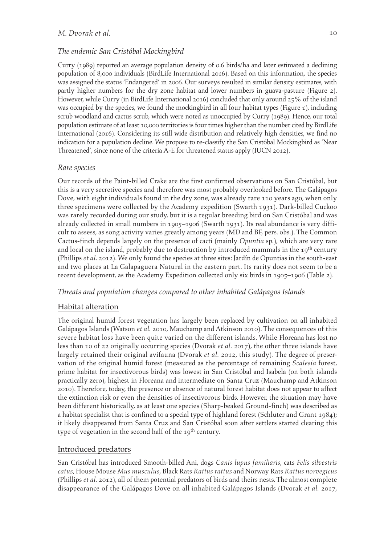# *The endemic San Cristóbal Mockingbird*

Curry (1989) reported an average population density of 0.6 birds/ha and later estimated a declining population of 8,000 individuals (BirdLife International 2016). Based on this information, the species was assigned the status 'Endangered' in 2006. Our surveys resulted in similar density estimates, with partly higher numbers for the dry zone habitat and lower numbers in guava-pasture (Figure 2). However, while Curry (in BirdLife International 2016) concluded that only around 25% of the island was occupied by the species, we found the mockingbird in all four habitat types (Figure 1), including scrub woodland and cactus scrub, which were noted as unoccupied by Curry (1989). Hence, our total population estimate of at least 10,000 territories is four times higher than the number cited by BirdLife International (2016). Considering its still wide distribution and relatively high densities, we find no indication for a population decline. We propose to re-classify the San Cristóbal Mockingbird as 'Near Threatened', since none of the criteria A-E for threatened status apply (IUCN 2012).

## *Rare species*

Our records of the Paint-billed Crake are the first confirmed observations on San Cristóbal, but this is a very secretive species and therefore was most probably overlooked before. The Galápagos Dove, with eight individuals found in the dry zone, was already rare 110 years ago, when only three specimens were collected by the Academy expedition (Swarth 1931). Dark-billed Cuckoo was rarely recorded during our study, but it is a regular breeding bird on San Cristóbal and was already collected in small numbers in 1905–1906 (Swarth 1931). Its real abundance is very difficult to assess, as song activity varies greatly among years (MD and BF, pers. obs.). The Common Cactus-finch depends largely on the presence of cacti (mainly *Opuntia* sp.), which are very rare and local on the island, probably due to destruction by introduced mammals in the 19<sup>th</sup> century (Phillips *et al.* 2012). We only found the species at three sites: Jardín de Opuntias in the south-east and two places at La Galapaguera Natural in the eastern part. Its rarity does not seem to be a recent development, as the Academy Expedition collected only six birds in 1905–1906 (Table 2).

## *Threats and population changes compared to other inhabited Galápagos Islands*

## Habitat alteration

The original humid forest vegetation has largely been replaced by cultivation on all inhabited Galápagos Islands (Watson *et al.* 2010, Mauchamp and Atkinson 2010). The consequences of this severe habitat loss have been quite varied on the different islands. While Floreana has lost no less than 10 of 22 originally occurring species (Dvorak *et al.* 2017), the other three islands have largely retained their original avifauna (Dvorak *et al.* 2012, this study). The degree of preservation of the original humid forest (measured as the percentage of remaining *Scalesia* forest, prime habitat for insectivorous birds) was lowest in San Cristóbal and Isabela (on both islands practically zero), highest in Floreana and intermediate on Santa Cruz (Mauchamp and Atkinson 2010). Therefore, today, the presence or absence of natural forest habitat does not appear to affect the extinction risk or even the densities of insectivorous birds. However, the situation may have been different historically, as at least one species (Sharp-beaked Ground-finch) was described as a habitat specialist that is confined to a special type of highland forest (Schluter and Grant 1984); it likely disappeared from Santa Cruz and San Cristóbal soon after settlers started clearing this type of vegetation in the second half of the 19<sup>th</sup> century.

## Introduced predators

San Cristóbal has introduced Smooth-billed Ani, dogs *Canis lupus familiaris*, cats *Felis silvestris catus*, House Mouse *Mus musculus*, Black Rats *Rattus rattus* and Norway Rats *Rattus norvegicus* (Phillips *et al.* 2012), all of them potential predators of birds and theirs nests. The almost complete disappearance of the Galápagos Dove on all inhabited Galápagos Islands (Dvorak *et al.* 2017,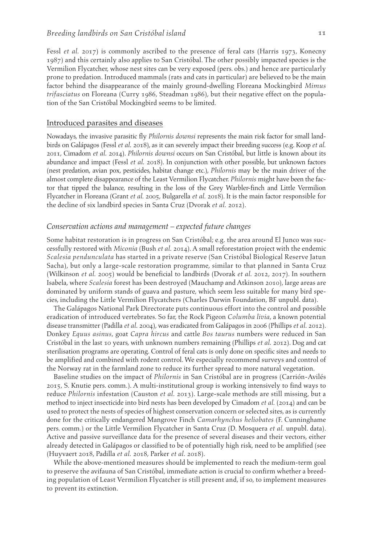Fessl *et al.* 2017) is commonly ascribed to the presence of feral cats (Harris 1973, Konecny 1987) and this certainly also applies to San Cristóbal. The other possibly impacted species is the Vermilion Flycatcher, whose nest sites can be very exposed (pers. obs.) and hence are particularly prone to predation. Introduced mammals (rats and cats in particular) are believed to be the main factor behind the disappearance of the mainly ground-dwelling Floreana Mockingbird *Mimus trifasciatus* on Floreana (Curry 1986, Steadman 1986), but their negative effect on the population of the San Cristóbal Mockingbird seems to be limited.

#### Introduced parasites and diseases

Nowadays, the invasive parasitic fly *Philornis downsi* represents the main risk factor for small landbirds on Galápagos (Fessl *et al.* 2018), as it can severely impact their breeding success (e.g. Koop *et al.* 2011, Cimadom *et al.* 2014). *Philornis downsi* occurs on San Cristóbal, but little is known about its abundance and impact (Fessl *et al.* 2018). In conjunction with other possible, but unknown factors (nest predation, avian pox, pesticides, habitat change etc.), *Philornis* may be the main driver of the almost complete disappearance of the Least Vermilion Flycatcher. *Philornis* might have been the factor that tipped the balance, resulting in the loss of the Grey Warbler-finch and Little Vermilion Flycatcher in Floreana (Grant *et al.* 2005, Bulgarella *et al.* 2018). It is the main factor responsible for the decline of six landbird species in Santa Cruz (Dvorak *et al.* 2012).

## *Conservation actions and management – expected future changes*

Some habitat restoration is in progress on San Cristóbal; e.g. the area around El Junco was successfully restored with *Miconia* (Bush *et al.* 2014). A small reforestation project with the endemic *Scalesia pendunculata* has started in a private reserve (San Cristóbal Biological Reserve Jatun Sacha), but only a large-scale restoration programme, similar to that planned in Santa Cruz (Wilkinson *et al.* 2005) would be beneficial to landbirds (Dvorak *et al.* 2012, 2017). In southern Isabela, where *Scalesia* forest has been destroyed (Mauchamp and Atkinson 2010), large areas are dominated by uniform stands of guava and pasture, which seem less suitable for many bird species, including the Little Vermilion Flycatchers (Charles Darwin Foundation, BF unpubl. data).

The Galápagos National Park Directorate puts continuous effort into the control and possible eradication of introduced vertebrates. So far, the Rock Pigeon *Columba livia*, a known potential disease transmitter (Padilla *et al.* 2004), was eradicated from Galápagos in 2006 (Phillips *et al.* 2012). Donkey *Equus asinus*, goat *Capra hircus* and cattle *Bos taurus* numbers were reduced in San Cristóbal in the last 10 years, with unknown numbers remaining (Phillips *et al.* 2012). Dog and cat sterilisation programs are operating. Control of feral cats is only done on specific sites and needs to be amplified and combined with rodent control. We especially recommend surveys and control of the Norway rat in the farmland zone to reduce its further spread to more natural vegetation.

Baseline studies on the impact of *Philornis* in San Cristóbal are in progress (Carrión-Avilés 2015, S. Knutie pers. comm.). A multi-institutional group is working intensively to find ways to reduce *Philornis* infestation (Causton *et al.* 2013). Large-scale methods are still missing, but a method to inject insecticide into bird nests has been developed by Cimadom *et al.* (2014) and can be used to protect the nests of species of highest conservation concern or selected sites, as is currently done for the critically endangered Mangrove Finch *Camarhynchus heliobates* (F. Cunninghame pers. comm.) or the Little Vermilion Flycatcher in Santa Cruz (D. Mosquera *et al.* unpubl. data). Active and passive surveillance data for the presence of several diseases and their vectors, either already detected in Galápagos or classified to be of potentially high risk, need to be amplified (see (Huyvaert 2018, Padilla *et al.* 2018, Parker *et al.* 2018).

While the above-mentioned measures should be implemented to reach the medium-term goal to preserve the avifauna of San Cristóbal, immediate action is crucial to confirm whether a breeding population of Least Vermilion Flycatcher is still present and, if so, to implement measures to prevent its extinction.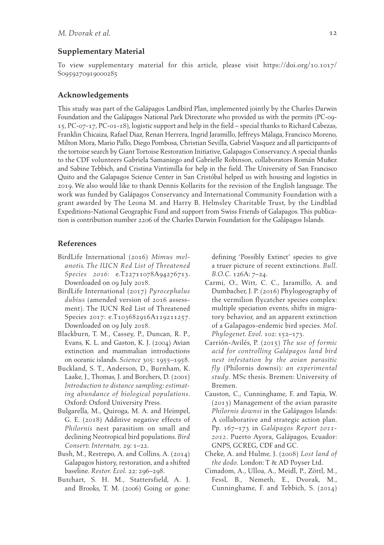#### **Supplementary Material**

To view supplementary material for this article, please visit [https://doi.org/](https://doi.org/10.1017/S0959270919000285)10.1017/ S[0959270919000285](https://doi.org/10.1017/S0959270919000285)

#### **Acknowledgements**

This study was part of the Galápagos Landbird Plan, implemented jointly by the Charles Darwin Foundation and the Galápagos National Park Directorate who provided us with the permits (PC-09- 15, PC-07-17, PC-01-18), logistic support and help in the field – special thanks to Richard Cabezas, Franklin Chicaiza, Rafael Diaz, Renan Herrera, Ingrid Jaramillo, Jeffreys Málaga, Francisco Moreno, Milton Mora, Mario Pallo, Diego Pombosa, Christian Sevilla, Gabriel Vasquez and all participants of the tortoise search by Giant Tortoise Restoration Initiative, Galapagos Conservancy. A special thanks to the CDF volunteers Gabriela Samaniego and Gabrielle Robinson, collaborators Román Muñez and Sabine Tebbich, and Cristina Vintimilla for help in the field. The University of San Francisco Quito and the Galapagos Science Center in San Cristóbal helped us with housing and logistics in 2019. We also would like to thank Dennis Kollarits for the revision of the English language. The work was funded by Galápagos Conservancy and International Community Foundation with a grant awarded by The Leona M. and Harry B. Helmsley Charitable Trust, by the Lindblad Expeditions-National Geographic Fund and support from Swiss Friends of Galapagos. This publication is contribution number 2206 of the Charles Darwin Foundation for the Galápagos Islands.

## **References**

- BirdLife International (2016) *Mimus melanotis. The IUCN Red List of Threatened Species 2016*: e.T22711078A94276713. Downloaded on 09 July 2018.
- BirdLife International (2017) *Pyrocephalus dubius* (amended version of 2016 assessment). The IUCN Red List of Threatened Species 2017: e.T103682916A119211257. Downloaded on 09 July 2018.
- Blackburn, T. M., Cassey, P., Duncan, R. P., Evans, K. L. and Gaston, K. J. (2004) Avian extinction and mammalian introductions on oceanic islands. *Science* 305: 1955–1958.
- Buckland, S. T., Anderson, D., Burnham, K. Laake, J., Thomas, J. and Borchers, D. (2001) *Introduction to distance sampling: estimating abundance of biological populations*. Oxford: Oxford University Press.
- Bulgarella, M., Quiroga, M. A. and Heimpel, G. E. (2018) Additive negative effects of *Philornis* nest parasitism on small and declining Neotropical bird populations. *Bird Conserv. Internatn.* 29: 1–22.
- Bush, M., Restrepo, A. and Collins, A. (2014) Galapagos history, restoration, and a shifted baseline. *Restor. Ecol.* 22: 296–298.
- Butchart, S. H. M., Stattersfield, A. J. and Brooks, T. M. (2006) Going or gone:

defining 'Possibly Extinct' species to give a truer picture of recent extinctions. *Bull. B.O.C.* 126A: 7–24.

- Carmi, O., Witt, C. C., Jaramillo, A. and Dumbacher, J. P. (2016) Phylogeography of the vermilion flycatcher species complex: multiple speciation events, shifts in migratory behavior, and an apparent extinction of a Galapagos-endemic bird species. *Mol. Phylogenet. Evol.* 102: 152–173.
- Carrión-Avilés, P. (2015) *The use of formic acid for controlling Galápagos land bird nest infestation by the avian parasitic fly* (Philornis downsi)*: an experimental study*. MSc thesis. Bremen: University of Bremen.
- Causton, C., Cunninghame, F. and Tapia, W. (2013) Management of the avian parasite *Philornis downsi* in the Galápagos Islands: A collaborative and strategic action plan. Pp. 167–173 in *Galápagos Report 2011- 2012*. Puerto Ayora, Galápagos, Ecuador: GNPS, GCREG, CDF and GC.
- Cheke, A. and Hulme, J. (2008) *Lost land of the dodo.* London: T & AD Poyser Ltd.
- Cimadom, A., Ulloa, A., Meidl, P., Zöttl, M., Fessl, B., Nemeth, E., Dvorak, M., Cunninghame, F. and Tebbich, S. (2014)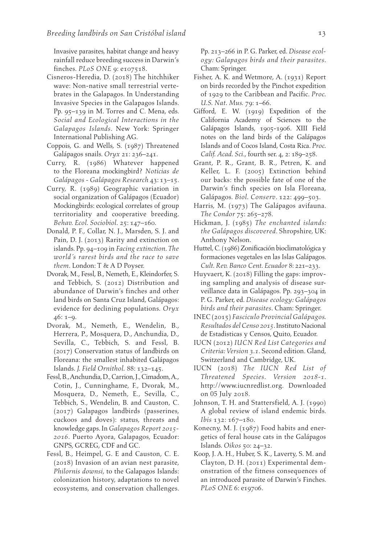Invasive parasites, habitat change and heavy rainfall reduce breeding success in Darwin's finches. *PLoS ONE* 9: e107518.

- Cisneros-Heredia, D. (2018) The hitchhiker wave: Non-native small terrestrial vertebrates in the Galapagos. In Understanding Invasive Species in the Galapagos Islands. Pp. 95–139 in M. Torres and C. Mena, eds. *Social and Ecological Interactions in the Galapagos Islands*. New York: Springer International Publishing AG.
- Coppois, G. and Wells, S. (1987) Threatened Galápagos snails. *Oryx* 21: 236–241.
- Curry, R. (1986) Whatever happened to the Floreana mockingbird? *Noticias de Galápagos - Galápagos Research* 43: 13–15.
- Curry, R. (1989) Geographic variation in social organization of Galápagos (Ecuador) Mockingbirds: ecological correlates of group territoriality and cooperative breeding. *Behav. Ecol. Sociobiol.* 25: 147–160.
- Donald, P. F., Collar, N. J., Marsden, S. J. and Pain, D. J. (2013) Rarity and extinction on islands. Pp. 94–109 in *Facing extinction. The world´s rarest birds and the race to save them*. London: T & A D Poyser.
- Dvorak, M., Fessl, B., Nemeth, E., Kleindorfer, S. and Tebbich, S. (2012) Distribution and abundance of Darwin's finches and other land birds on Santa Cruz Island, Galápagos: evidence for declining populations. *Oryx* 46: 1–9.
- Dvorak, M., Nemeth, E., Wendelin, B., Herrera, P., Mosquera, D., Anchundia, D., Sevilla, C., Tebbich, S. and Fessl, B. (2017) Conservation status of landbirds on Floreana: the smallest inhabited Galápagos Islands. *J. Field Ornithol.* 88: 132–145.
- Fessl, B., Anchundia, D., Carrion, J., Cimadom, A., Cotin, J., Cunninghame, F., Dvorak, M., Mosquera, D., Nemeth, E., Sevilla, C., Tebbich, S., Wendelin, B. and Causton, C. (2017) Galapagos landbirds (passerines, cuckoos and doves): status, threats and knowledge gaps. In *Galapagos Report 2015- 2016*. Puerto Ayora, Galapagos, Ecuador: GNPS, GCREG, CDF and GC.
- Fessl, B., Heimpel, G. E and Causton, C. E. (2018) Invasion of an avian nest parasite, *Philornis downsi*, to the Galapagos Islands: colonization history, adaptations to novel ecosystems, and conservation challenges.

Pp. 213–266 in P. G. Parker, ed. *Disease ecology: Galapagos birds and their parasites*. Cham: Springer.

- Fisher, A. K. and Wetmore, A. (1931) Report on birds recorded by the Pinchot expedition of 1929 to the Caribbean and Pacific. *Proc. U.S. Nat. Mus.* 79: 1–66.
- Gifford, E. W. (1919) Expedition of the California Academy of Sciences to the Galápagos Islands, 1905-1906. XIII Field notes on the land birds of the Galápagos Islands and of Cocos Island, Costa Rica. *Proc. Calif. Acad. Sci*., fourth ser. 4, 2: 189–258.
- Grant, P. R., Grant, B. R., Petren, K. and Keller, L. F. (2005) Extinction behind our backs: the possible fate of one of the Darwin's finch species on Isla Floreana, Galápagos. *Biol. Conserv*. 122: 499–503.
- Harris, M. (1973) The Galápagos avifauna. *The Condor* 75: 265–278.
- Hickman, J. (1985) *The enchanted islands: the Galápagos discovered*. Shropshire, UK: Anthony Nelson.
- Huttel, C. (1986) Zonificación bioclimatológica y formaciones vegetales en las Islas Galápagos. *Cult. Rev. Banco Cent. Ecuador* 8: 221–233.
- Huyvaert, K. (2018) Filling the gaps: improving sampling and analysis of disease surveillance data in Galápagos. Pp. 293–304 in P. G. Parker, ed. *Disease ecology: Galápagos birds and their parasites*. Cham: Springer.
- INEC (2015) *Fasciculo Provincial Galápagos. Resultados del Censo 2015*. Instituto Nacional de Estadisticas y Censos, Quito, Ecuador.
- IUCN (2012) *IUCN Red List Categories and Criteria: Version 3.1*. Second edition. Gland, Switzerland and Cambridge, UK.
- IUCN (2018) *The IUCN Red List of Threatened Species*. *Version 2018-1*. http://www.iucnredlist.org. Downloaded on 05 July 2018.
- Johnson, T. H. and Stattersfield, A. J. (1990) A global review of island endemic birds. *Ibis* 132: 167–180.
- Konecny, M. J. (1987) Food habits and energetics of feral house cats in the Galápagos Islands. *Oikos* 50: 24–32.
- Koop, J. A. H., Huber, S. K., Laverty, S. M. and Clayton, D. H. (2011) Experimental demonstration of the fitness consequences of an introduced parasite of Darwin's Finches. *PLoS ONE* 6: e19706.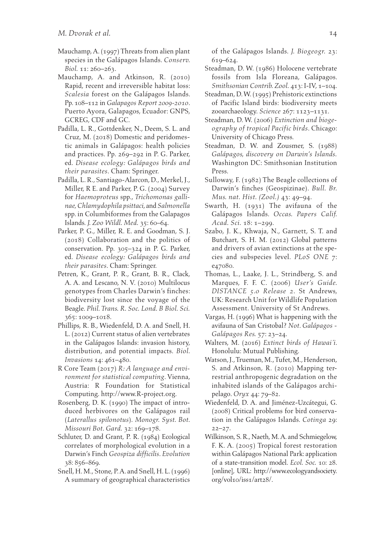- Mauchamp, A. (1997) Threats from alien plant species in the Galápagos Islands. *Conserv. Biol.* 11: 260–263.
- Mauchamp, A. and Atkinson, R. (2010) Rapid, recent and irreversible habitat loss: *Scalesia* forest on the Galápagos Islands. Pp. 108–112 in *Galapagos Report 2009-2010*. Puerto Ayora, Galapagos, Ecuador: GNPS, GCREG, CDF and GC.
- Padilla, L. R., Gottdenker, N., Deem, S. L. and Cruz, M. (2018) Domestic and peridomestic animals in Galápagos: health policies and practices. Pp. 269–292 in P. G. Parker, ed. *Disease ecology: Galápagos birds and their parasites*. Cham: Springer.
- Padilla, L. R., Santiago-Alarcon, D., Merkel, J., Miller, R E. and Parker, P. G. (2004) Survey for *Haemoproteus* spp., *Trichomonas gallinae, Chlamydophila psittaci*, and *Salmonella* spp. in Columbiformes from the Galapagos Islands. *J. Zoo Wildl. Med.* 35: 60–64.
- Parker, P. G., Miller, R. E. and Goodman, S. J. (2018) Collaboration and the politics of conservation. Pp. 305–324 in P. G. Parker, ed. *Disease ecology: Galápagos birds and their parasites*. Cham: Springer.
- Petren, K., Grant, P. R., Grant, B. R., Clack, A. A. and Lescano, N. V. (2010) Multilocus genotypes from Charles Darwin's finches: biodiversity lost since the voyage of the Beagle. *Phil. Trans. R. Soc. Lond. B Biol. Sci.* 365: 1009–1018.
- Phillips, R. B., Wiedenfeld, D. A. and Snell, H. L. (2012) Current status of alien vertebrates in the Galápagos Islands: invasion history, distribution, and potential impacts. *Biol. Invasions* 14: 461–480.
- R Core Team (2017) *R: A language and environment for statistical computing*. Vienna, Austria: R Foundation for Statistical Computing. <http://www.R-project.org>.
- Rosenberg, D. K. (1990) The impact of introduced herbivores on the Galápagos rail (*Laterallus spilonotus*). *Monogr. Syst. Bot. Missouri Bot. Gard.* 32: 169–178.
- Schluter, D. and Grant, P. R. (1984) Ecological correlates of morphological evolution in a Darwin's Finch *Geospiza difficilis*. *Evolution* 38: 856–869.
- Snell, H. M., Stone, P. A. and Snell, H. L. (1996) A summary of geographical characteristics

of the Galápagos Islands. *J. Biogeogr.* 23: 619–624.

- Steadman, D. W. (1986) Holocene vertebrate fossils from Isla Floreana, Galápagos. *Smithsonian Contrib. Zool.* 413: I-IV, 1–104.
- Steadman, D. W. (1995) Prehistoric extinctions of Pacific Island birds: biodiversity meets zooarchaeology. *Science* 267: 1123–1131.
- Steadman, D. W. (2006) *Extinction and biogeography of tropical Pacific birds*. Chicago: University of Chicago Press.
- Steadman, D. W. and Zousmer, S. (1988) *Galápagos, discovery on Darwin's Islands.* Washington DC: Smithsonian Institution Press.
- Sulloway, F. (1982) The Beagle collections of Darwin's finches (Geospizinae). *Bull. Br. Mus. nat. Hist. (Zool.)* 43: 49–94.
- Swarth, H. (1931) The avifauna of the Galápagos Islands. *Occas. Papers Calif. Acad. Sci.* 18: 1–299.
- Szabo, J. K., Khwaja, N., Garnett, S. T. and Butchart, S. H. M. (2012) Global patterns and drivers of avian extinctions at the species and subspecies level. *PLoS ONE* 7: e47080.
- Thomas, L., Laake, J. L., Strindberg, S. and Marques, F. F. C. (2006) *User's Guide. DISTANCE 5.0 Release 2*. St Andrews, UK: Research Unit for Wildlife Population Assessment. University of St Andrews.
- Vargas, H. (1996) What is happening with the avifauna of San Cristobal? *Not*. *Galápagos - Galápagos Res.* 57: 23–24.
- Walters, M. (2016) *Extinct birds of Hawai´i*. Honolulu: Mutual Publishing.
- Watson, J., Trueman, M., Tufet, M., Henderson, S. and Atkinson, R. (2010) Mapping terrestrial anthropogenic degradation on the inhabited islands of the Galápagos archipelago. *Oryx* 44: 79–82.
- Wiedenfeld, D. A. and Jiménez-Uzcátegui, G. (2008) Critical problems for bird conservation in the Galápagos Islands. *Cotinga* 29:  $22 - 27$ .
- Wilkinson, S. R., Naeth, M. A. and Schmiegelow, F. K. A. (2005) Tropical forest restoration within Galápagos National Park: application of a state-transition model. *Ecol. Soc.* 10: 28. [online], URL: [http://www.ecologyandsociety.](http://www.ecologyandsociety.org/vol10/iss1/art28/) [org/vol](http://www.ecologyandsociety.org/vol10/iss1/art28/)10/iss1/art28/.